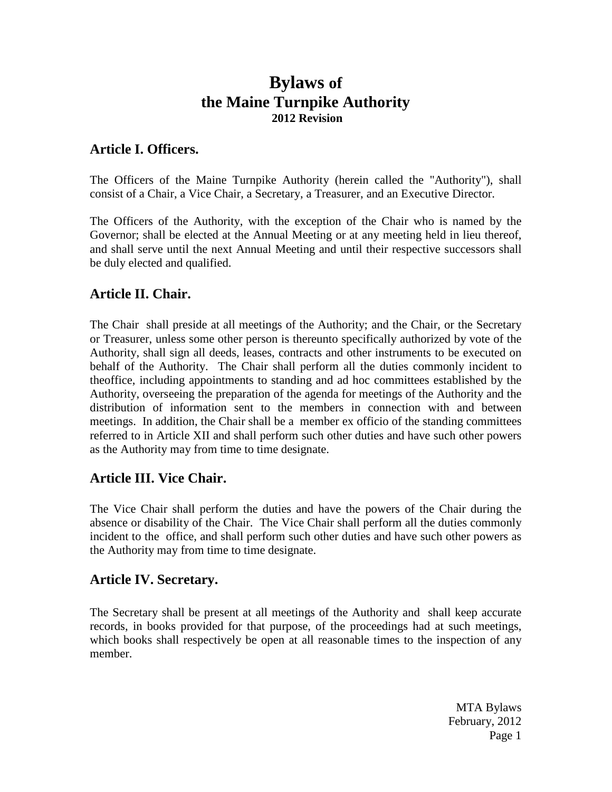# **Bylaws of the Maine Turnpike Authority 2012 Revision**

#### **Article I. Officers.**

The Officers of the Maine Turnpike Authority (herein called the "Authority"), shall consist of a Chair, a Vice Chair, a Secretary, a Treasurer, and an Executive Director.

The Officers of the Authority, with the exception of the Chair who is named by the Governor; shall be elected at the Annual Meeting or at any meeting held in lieu thereof, and shall serve until the next Annual Meeting and until their respective successors shall be duly elected and qualified.

## **Article II. Chair.**

The Chair shall preside at all meetings of the Authority; and the Chair, or the Secretary or Treasurer, unless some other person is thereunto specifically authorized by vote of the Authority, shall sign all deeds, leases, contracts and other instruments to be executed on behalf of the Authority. The Chair shall perform all the duties commonly incident to theoffice, including appointments to standing and ad hoc committees established by the Authority, overseeing the preparation of the agenda for meetings of the Authority and the distribution of information sent to the members in connection with and between meetings. In addition, the Chair shall be a member ex officio of the standing committees referred to in Article XII and shall perform such other duties and have such other powers as the Authority may from time to time designate.

## **Article III. Vice Chair.**

The Vice Chair shall perform the duties and have the powers of the Chair during the absence or disability of the Chair. The Vice Chair shall perform all the duties commonly incident to the office, and shall perform such other duties and have such other powers as the Authority may from time to time designate.

#### **Article IV. Secretary.**

The Secretary shall be present at all meetings of the Authority and shall keep accurate records, in books provided for that purpose, of the proceedings had at such meetings, which books shall respectively be open at all reasonable times to the inspection of any member.

> MTA Bylaws February, 2012 Page 1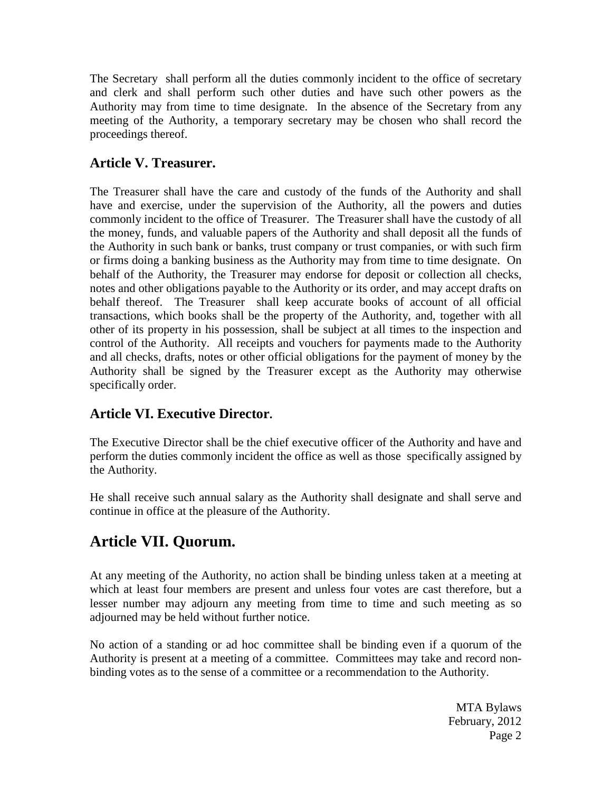The Secretary shall perform all the duties commonly incident to the office of secretary and clerk and shall perform such other duties and have such other powers as the Authority may from time to time designate. In the absence of the Secretary from any meeting of the Authority, a temporary secretary may be chosen who shall record the proceedings thereof.

# **Article V. Treasurer.**

The Treasurer shall have the care and custody of the funds of the Authority and shall have and exercise, under the supervision of the Authority, all the powers and duties commonly incident to the office of Treasurer. The Treasurer shall have the custody of all the money, funds, and valuable papers of the Authority and shall deposit all the funds of the Authority in such bank or banks, trust company or trust companies, or with such firm or firms doing a banking business as the Authority may from time to time designate. On behalf of the Authority, the Treasurer may endorse for deposit or collection all checks, notes and other obligations payable to the Authority or its order, and may accept drafts on behalf thereof. The Treasurer shall keep accurate books of account of all official transactions, which books shall be the property of the Authority, and, together with all other of its property in his possession, shall be subject at all times to the inspection and control of the Authority. All receipts and vouchers for payments made to the Authority and all checks, drafts, notes or other official obligations for the payment of money by the Authority shall be signed by the Treasurer except as the Authority may otherwise specifically order.

# **Article VI. Executive Director.**

The Executive Director shall be the chief executive officer of the Authority and have and perform the duties commonly incident the office as well as those specifically assigned by the Authority.

He shall receive such annual salary as the Authority shall designate and shall serve and continue in office at the pleasure of the Authority.

# **Article VII. Quorum.**

At any meeting of the Authority, no action shall be binding unless taken at a meeting at which at least four members are present and unless four votes are cast therefore, but a lesser number may adjourn any meeting from time to time and such meeting as so adjourned may be held without further notice.

No action of a standing or ad hoc committee shall be binding even if a quorum of the Authority is present at a meeting of a committee. Committees may take and record nonbinding votes as to the sense of a committee or a recommendation to the Authority.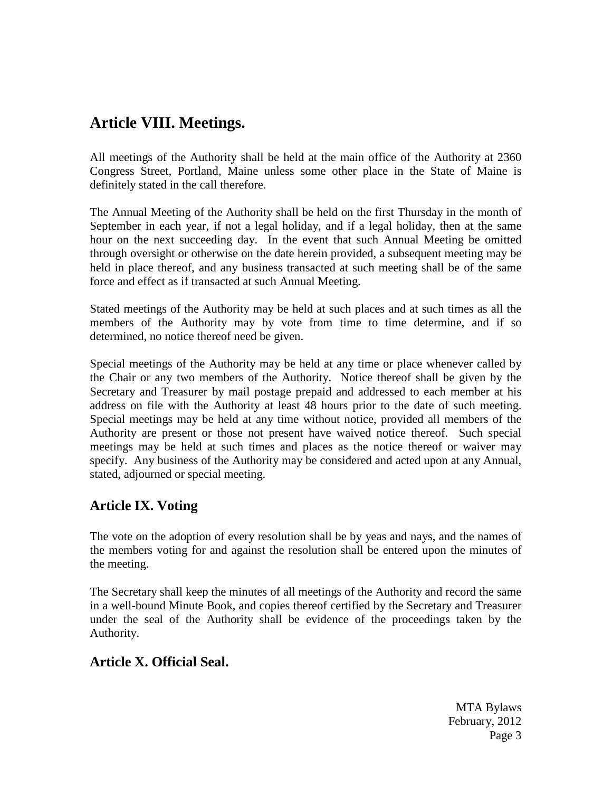# **Article VIII. Meetings.**

All meetings of the Authority shall be held at the main office of the Authority at 2360 Congress Street, Portland, Maine unless some other place in the State of Maine is definitely stated in the call therefore.

The Annual Meeting of the Authority shall be held on the first Thursday in the month of September in each year, if not a legal holiday, and if a legal holiday, then at the same hour on the next succeeding day. In the event that such Annual Meeting be omitted through oversight or otherwise on the date herein provided, a subsequent meeting may be held in place thereof, and any business transacted at such meeting shall be of the same force and effect as if transacted at such Annual Meeting.

Stated meetings of the Authority may be held at such places and at such times as all the members of the Authority may by vote from time to time determine, and if so determined, no notice thereof need be given.

Special meetings of the Authority may be held at any time or place whenever called by the Chair or any two members of the Authority. Notice thereof shall be given by the Secretary and Treasurer by mail postage prepaid and addressed to each member at his address on file with the Authority at least 48 hours prior to the date of such meeting. Special meetings may be held at any time without notice, provided all members of the Authority are present or those not present have waived notice thereof. Such special meetings may be held at such times and places as the notice thereof or waiver may specify. Any business of the Authority may be considered and acted upon at any Annual, stated, adjourned or special meeting.

## **Article IX. Voting**

The vote on the adoption of every resolution shall be by yeas and nays, and the names of the members voting for and against the resolution shall be entered upon the minutes of the meeting.

The Secretary shall keep the minutes of all meetings of the Authority and record the same in a well-bound Minute Book, and copies thereof certified by the Secretary and Treasurer under the seal of the Authority shall be evidence of the proceedings taken by the Authority.

## **Article X. Official Seal.**

MTA Bylaws February, 2012 Page 3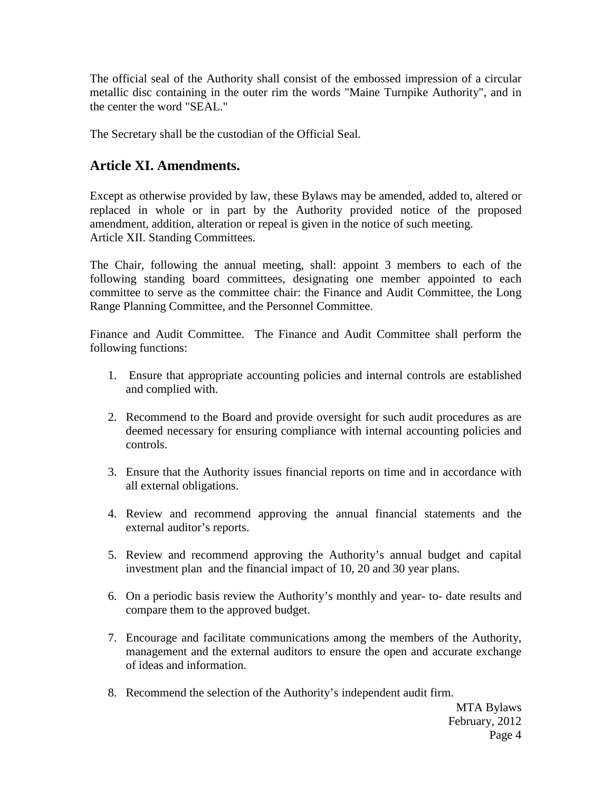The official seal of the Authority shall consist of the embossed impression of a circular metallic disc containing in the outer rim the words "Maine Turnpike Authority", and in the center the word "SEAL."

The Secretary shall be the custodian of the Official Seal.

#### **Article XI. Amendments.**

Except as otherwise provided by law, these Bylaws may be amended, added to, altered or replaced in whole or in part by the Authority provided notice of the proposed amendment, addition, alteration or repeal is given in the notice of such meeting. Article XII. Standing Committees.

The Chair, following the annual meeting, shall: appoint 3 members to each of the following standing board committees, designating one member appointed to each committee to serve as the committee chair: the Finance and Audit Committee, the Long Range Planning Committee, and the Personnel Committee.

Finance and Audit Committee. The Finance and Audit Committee shall perform the following functions:

- 1. Ensure that appropriate accounting policies and internal controls are established and complied with.
- 2. Recommend to the Board and provide oversight for such audit procedures as are deemed necessary for ensuring compliance with internal accounting policies and controls.
- 3. Ensure that the Authority issues financial reports on time and in accordance with all external obligations.
- 4. Review and recommend approving the annual financial statements and the external auditor's reports.
- 5. Review and recommend approving the Authority's annual budget and capital investment plan and the financial impact of 10, 20 and 30 year plans.
- 6. On a periodic basis review the Authority's monthly and year- to- date results and compare them to the approved budget.
- 7. Encourage and facilitate communications among the members of the Authority, management and the external auditors to ensure the open and accurate exchange of ideas and information.
- 8. Recommend the selection of the Authority's independent audit firm.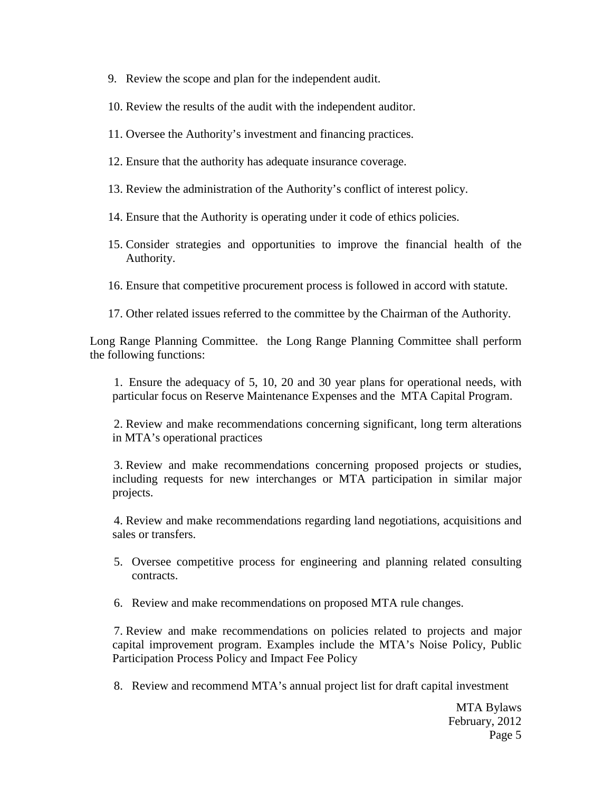- 9. Review the scope and plan for the independent audit.
- 10. Review the results of the audit with the independent auditor.
- 11. Oversee the Authority's investment and financing practices.
- 12. Ensure that the authority has adequate insurance coverage.
- 13. Review the administration of the Authority's conflict of interest policy.
- 14. Ensure that the Authority is operating under it code of ethics policies.
- 15. Consider strategies and opportunities to improve the financial health of the Authority.
- 16. Ensure that competitive procurement process is followed in accord with statute.
- 17. Other related issues referred to the committee by the Chairman of the Authority.

Long Range Planning Committee. the Long Range Planning Committee shall perform the following functions:

1. Ensure the adequacy of 5, 10, 20 and 30 year plans for operational needs, with particular focus on Reserve Maintenance Expenses and the MTA Capital Program.

2. Review and make recommendations concerning significant, long term alterations in MTA's operational practices

3. Review and make recommendations concerning proposed projects or studies, including requests for new interchanges or MTA participation in similar major projects.

4. Review and make recommendations regarding land negotiations, acquisitions and sales or transfers.

- 5. Oversee competitive process for engineering and planning related consulting contracts.
- 6. Review and make recommendations on proposed MTA rule changes.

7. Review and make recommendations on policies related to projects and major capital improvement program. Examples include the MTA's Noise Policy, Public Participation Process Policy and Impact Fee Policy

8. Review and recommend MTA's annual project list for draft capital investment